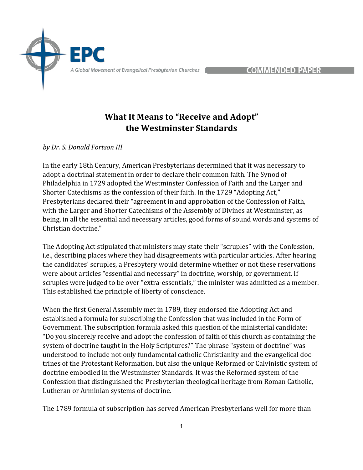

COMMENDED PAPER

## **What It Means to "Receive and Adopt" the Westminster Standards**

*by Dr. S. Donald Fortson III* 

In the early 18th Century, American Presbyterians determined that it was necessary to adopt a doctrinal statement in order to declare their common faith. The Synod of Philadelphia in 1729 adopted the Westminster Confession of Faith and the Larger and Shorter Catechisms as the confession of their faith. In the 1729 "Adopting Act," Presbyterians declared their "agreement in and approbation of the Confession of Faith, with the Larger and Shorter Catechisms of the Assembly of Divines at Westminster, as being, in all the essential and necessary articles, good forms of sound words and systems of Christian doctrine."

The Adopting Act stipulated that ministers may state their "scruples" with the Confession, i.e., describing places where they had disagreements with particular articles. After hearing the candidates' scruples, a Presbytery would determine whether or not these reservations were about articles "essential and necessary" in doctrine, worship, or government. If scruples were judged to be over "extra-essentials," the minister was admitted as a member. This established the principle of liberty of conscience.

When the first General Assembly met in 1789, they endorsed the Adopting Act and established a formula for subscribing the Confession that was included in the Form of Government. The subscription formula asked this question of the ministerial candidate: "Do you sincerely receive and adopt the confession of faith of this church as containing the system of doctrine taught in the Holy Scriptures?" The phrase "system of doctrine" was understood to include not only fundamental catholic Christianity and the evangelical doctrines of the Protestant Reformation, but also the unique Reformed or Calvinistic system of doctrine embodied in the Westminster Standards. It was the Reformed system of the Confession that distinguished the Presbyterian theological heritage from Roman Catholic, Lutheran or Arminian systems of doctrine.

The 1789 formula of subscription has served American Presbyterians well for more than